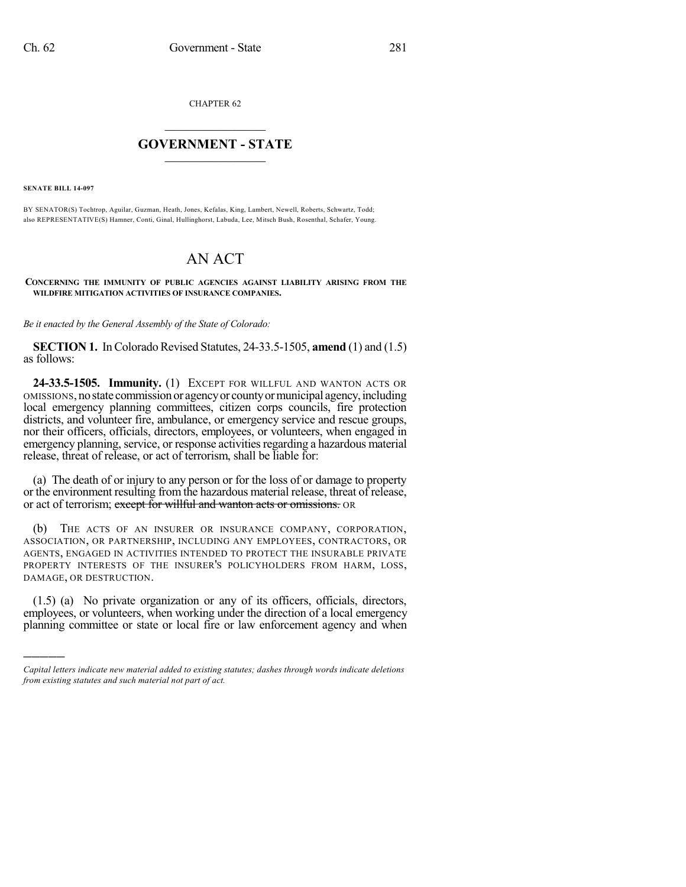CHAPTER 62

## $\overline{\phantom{a}}$  . The set of the set of the set of the set of the set of the set of the set of the set of the set of the set of the set of the set of the set of the set of the set of the set of the set of the set of the set o **GOVERNMENT - STATE**  $\_$

**SENATE BILL 14-097**

)))))

BY SENATOR(S) Tochtrop, Aguilar, Guzman, Heath, Jones, Kefalas, King, Lambert, Newell, Roberts, Schwartz, Todd; also REPRESENTATIVE(S) Hamner, Conti, Ginal, Hullinghorst, Labuda, Lee, Mitsch Bush, Rosenthal, Schafer, Young.

## AN ACT

**CONCERNING THE IMMUNITY OF PUBLIC AGENCIES AGAINST LIABILITY ARISING FROM THE WILDFIRE MITIGATION ACTIVITIES OF INSURANCE COMPANIES.**

*Be it enacted by the General Assembly of the State of Colorado:*

**SECTION 1.** In Colorado Revised Statutes, 24-33.5-1505, **amend** (1) and (1.5) as follows:

**24-33.5-1505. Immunity.** (1) EXCEPT FOR WILLFUL AND WANTON ACTS OR OMISSIONS, nostate commissionor agencyor countyormunicipal agency,including local emergency planning committees, citizen corps councils, fire protection districts, and volunteer fire, ambulance, or emergency service and rescue groups, nor their officers, officials, directors, employees, or volunteers, when engaged in emergency planning, service, or response activities regarding a hazardous material release, threat of release, or act of terrorism, shall be liable for:

(a) The death of or injury to any person or for the loss of or damage to property or the environment resulting from the hazardous material release, threat of release, or act of terrorism; except for willful and wanton acts or omissions. OR

(b) THE ACTS OF AN INSURER OR INSURANCE COMPANY, CORPORATION, ASSOCIATION, OR PARTNERSHIP, INCLUDING ANY EMPLOYEES, CONTRACTORS, OR AGENTS, ENGAGED IN ACTIVITIES INTENDED TO PROTECT THE INSURABLE PRIVATE PROPERTY INTERESTS OF THE INSURER'S POLICYHOLDERS FROM HARM, LOSS, DAMAGE, OR DESTRUCTION.

(1.5) (a) No private organization or any of its officers, officials, directors, employees, or volunteers, when working under the direction of a local emergency planning committee or state or local fire or law enforcement agency and when

*Capital letters indicate new material added to existing statutes; dashes through words indicate deletions from existing statutes and such material not part of act.*